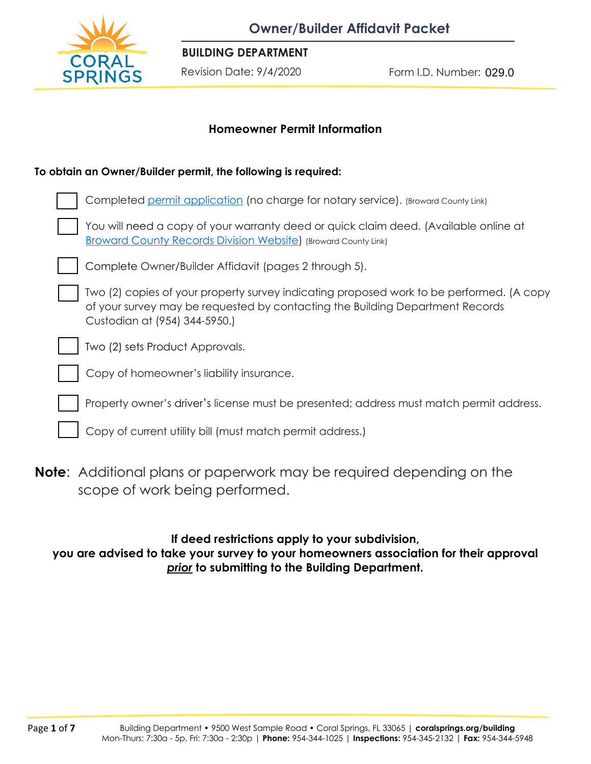

**BUILDING DEPARTMENT**

Form I.D. Number: Revision Date: 9/4/2020 029.0

## **Homeowner Permit Information**

#### **To obtain an Owner/Builder permit, the following is required:**

| Completed permit application (no charge for notary service). (Broward County Link)                                                                                                                         |
|------------------------------------------------------------------------------------------------------------------------------------------------------------------------------------------------------------|
| You will need a copy of your warranty deed or quick claim deed. (Available online at<br><b>Broward County Records Division Website) (Broward County Link)</b>                                              |
| Complete Owner/Builder Affidavit (pages 2 through 5).                                                                                                                                                      |
| Two (2) copies of your property survey indicating proposed work to be performed. (A copy<br>of your survey may be requested by contacting the Building Department Records<br>Custodian at (954) 344-5950.) |
| Two (2) sets Product Approvals.                                                                                                                                                                            |
| Copy of homeowner's liability insurance.                                                                                                                                                                   |
| Property owner's driver's license must be presented; address must match permit address.                                                                                                                    |
| Copy of current utility bill (must match permit address.)                                                                                                                                                  |
|                                                                                                                                                                                                            |

**Note**: Additional plans or paperwork may be required depending on the scope of work being performed.

# **If deed restrictions apply to your subdivision,**

**you are advised to take your survey to your homeowners association for their approval** *prior* **to submitting to the Building Department.**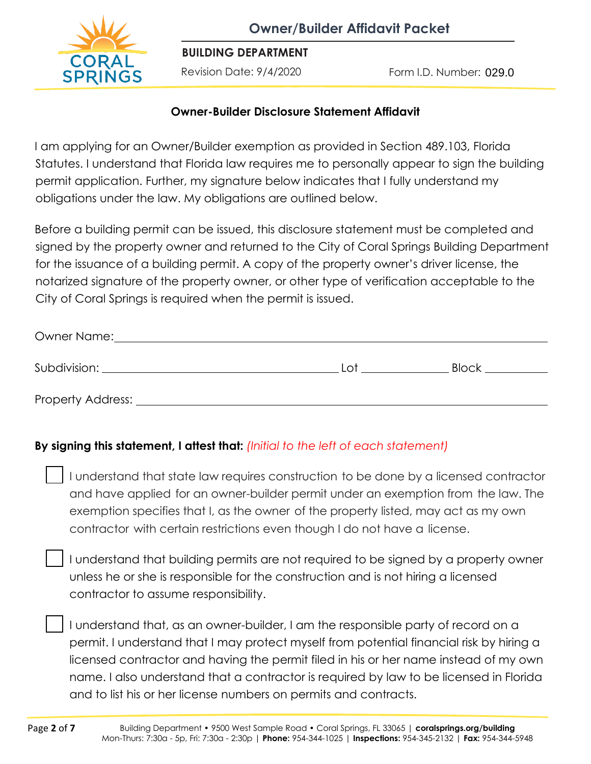

**BUILDING DEPARTMENT**

Revision Date: 9/4/2020

Form I.D. Number: 029.0

## **Owner-Builder Disclosure Statement Affidavit**

I am applying for an Owner/Builder exemption as provided in Section 489.103, Florida Statutes. I understand that Florida law requires me to personally appear to sign the building permit application. Further, my signature below indicates that I fully understand my obligations under the law. My obligations are outlined below.

Before a building permit can be issued, this disclosure statement must be completed and signed by the property owner and returned to the City of Coral Springs Building Department for the issuance of a building permit. A copy of the property owner's driver license, the notarized signature of the property owner, or other type of verification acceptable to the City of Coral Springs is required when the permit is issued.

| Owner Name:              |     |              |  |  |
|--------------------------|-----|--------------|--|--|
| Subdivision:             | ി പ | <b>Block</b> |  |  |
| <b>Property Address:</b> |     |              |  |  |

# **By signing this statement, I attest that:** *(Initial to the left of each statement)*

I understand that state law requires construction to be done by a licensed contractor and have applied for an owner-builder permit under an exemption from the law. The exemption specifies that I, as the owner of the property listed, may act as my own contractor with certain restrictions even though I do not have a license.

I understand that building permits are not required to be signed by a property owner unless he or she is responsible for the construction and is not hiring a licensed contractor to assume responsibility.

I understand that, as an owner-builder, I am the responsible party of record on a permit. I understand that I may protect myself from potential financial risk by hiring a licensed contractor and having the permit filed in his or her name instead of my own name. I also understand that a contractor is required by law to be licensed in Florida and to list his or her license numbers on permits and contracts.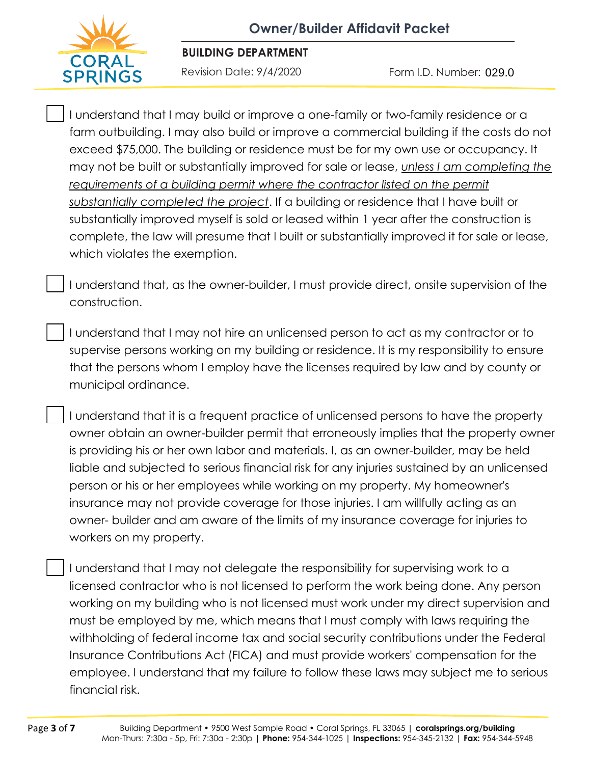

**BUILDING DEPARTMENT**

Form I.D. Number: Revision Date: 9/4/2020 029.0

I understand that I may build or improve a one-family or two-family residence or a farm outbuilding. I may also build or improve a commercial building if the costs do not exceed \$75,000. The building or residence must be for my own use or occupancy. It may not be built or substantially improved for sale or lease, *unless I am completing the requirements of a building permit where the contractor listed on the permit substantially completed the project*. If a building or residence that I have built or substantially improved myself is sold or leased within 1 year after the construction is complete, the law will presume that I built or substantially improved it for sale or lease, which violates the exemption.

I understand that, as the owner-builder, I must provide direct, onsite supervision of the construction.

I understand that I may not hire an unlicensed person to act as my contractor or to supervise persons working on my building or residence. It is my responsibility to ensure that the persons whom I employ have the licenses required by law and by county or municipal ordinance.

I understand that it is a frequent practice of unlicensed persons to have the property owner obtain an owner-builder permit that erroneously implies that the property owner is providing his or her own labor and materials. I, as an owner-builder, may be held liable and subjected to serious financial risk for any injuries sustained by an unlicensed person or his or her employees while working on my property. My homeowner's insurance may not provide coverage for those injuries. I am willfully acting as an owner- builder and am aware of the limits of my insurance coverage for injuries to workers on my property.

I understand that I may not delegate the responsibility for supervising work to a licensed contractor who is not licensed to perform the work being done. Any person working on my building who is not licensed must work under my direct supervision and must be employed by me, which means that I must comply with laws requiring the withholding of federal income tax and social security contributions under the Federal Insurance Contributions Act (FICA) and must provide workers' compensation for the employee. I understand that my failure to follow these laws may subject me to serious financial risk.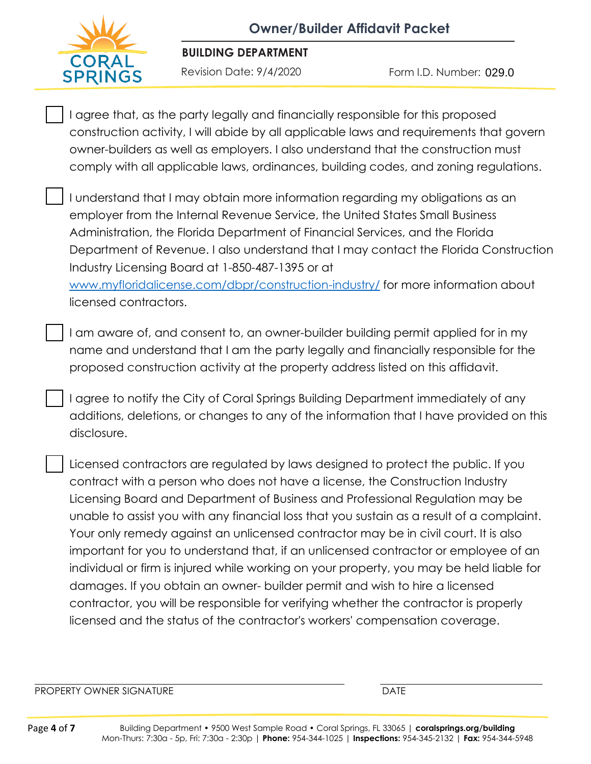

#### **BUILDING DEPARTMENT**

Form I.D. Number: Revision Date: 9/4/2020 029.0

I agree that, as the party legally and financially responsible for this proposed construction activity, I will abide by all applicable laws and requirements that govern owner-builders as well as employers. I also understand that the construction must comply with all applicable laws, ordinances, building codes, and zoning regulations.

I understand that I may obtain more information regarding my obligations as an employer from the Internal Revenue Service, the United States Small Business Administration, the Florida Department of Financial Services, and the Florida Department of Revenue. I also understand that I may contact the Florida Construction Industry Licensing Board at 1-850-487-1395 or at [www.myfloridalicense.com/dbpr/construction-industry/](http://www.myfloridalicense.com/dbpr/construction-industry/) for more information about licensed contractors.

I am aware of, and consent to, an owner-builder building permit applied for in my name and understand that I am the party legally and financially responsible for the proposed construction activity at the property address listed on this affidavit.

I agree to notify the City of Coral Springs Building Department immediately of any additions, deletions, or changes to any of the information that I have provided on this disclosure.

Licensed contractors are regulated by laws designed to protect the public. If you contract with a person who does not have a license, the Construction Industry Licensing Board and Department of Business and Professional Regulation may be unable to assist you with any financial loss that you sustain as a result of a complaint. Your only remedy against an unlicensed contractor may be in civil court. It is also important for you to understand that, if an unlicensed contractor or employee of an individual or firm is injured while working on your property, you may be held liable for damages. If you obtain an owner- builder permit and wish to hire a licensed contractor, you will be responsible for verifying whether the contractor is properly licensed and the status of the contractor's workers' compensation coverage.

PROPERTY OWNER SIGNATURE **Example 2008** 2009 12:00 DATE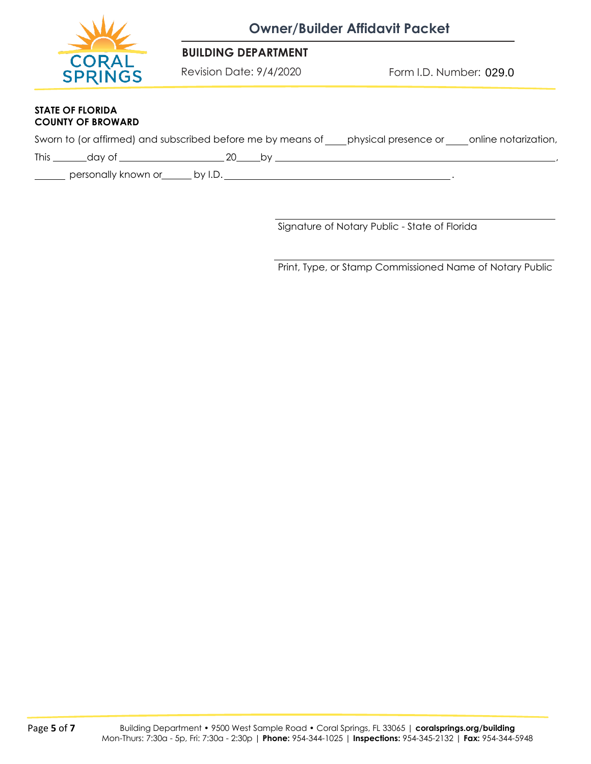

#### **BUILDING DEPARTMENT**

Revision Date: 9/4/2020

Form I.D. Number: 029.0

#### **STATE OF FLORIDA COUNTY OF BROWARD**

|  | Sworn to (or affirmed) and subscribed before me by means of | physical presence or |                      |
|--|-------------------------------------------------------------|----------------------|----------------------|
|  |                                                             |                      | online notarization, |

This day of 20 by ,

personally known or by I.D. **Consumers and the set of the set of the set of the set of the set of the set of the s** 

Signature of Notary Public - State of Florida

Print, Type, or Stamp Commissioned Name of Notary Public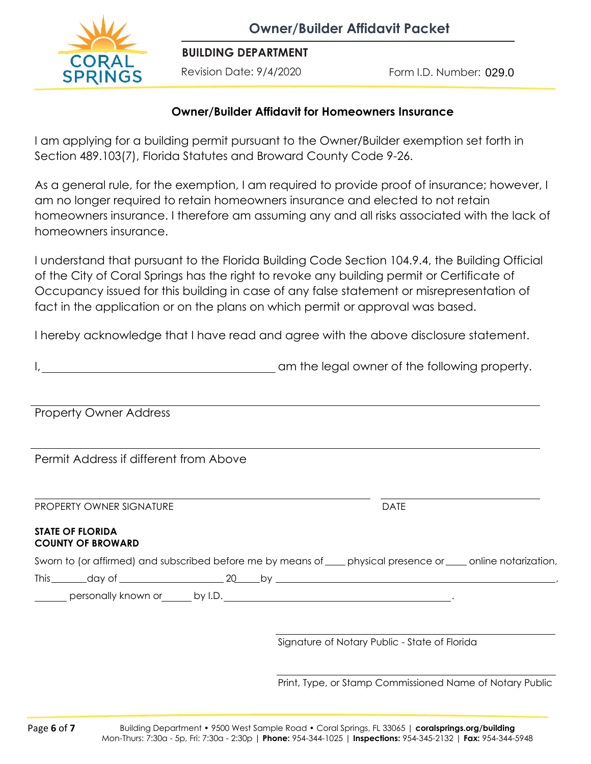

**BUILDING DEPARTMENT**

Revision Date: 9/4/2020

Form I.D. Number: 029.0

### **Owner/Builder Affidavit for Homeowners Insurance**

I am applying for a building permit pursuant to the Owner/Builder exemption set forth in Section 489.103(7), Florida Statutes and Broward County Code 9-26.

As a general rule, for the exemption, I am required to provide proof of insurance; however, I am no longer required to retain homeowners insurance and elected to not retain homeowners insurance. I therefore am assuming any and all risks associated with the lack of homeowners insurance.

I understand that pursuant to the Florida Building Code Section 104.9.4, the Building Official of the City of Coral Springs has the right to revoke any building permit or Certificate of Occupancy issued for this building in case of any false statement or misrepresentation of fact in the application or on the plans on which permit or approval was based.

I hereby acknowledge that I have read and agree with the above disclosure statement.

| am the legal owner of the following property. |
|-----------------------------------------------|
|                                               |

Property Owner Address

Permit Address if different from Above

PROPERTY OWNER SIGNATURE **Example 20 and 20 and 20 and 20 and 20 and 20 and 20 and 20 and 20 and 20 and 20 and 20 and 20 and 20 and 20 and 20 and 20 and 20 and 20 and 20 and 20 and 20 and 20 and 20 and 20 and 20 and 20 and** 

#### **STATE OF FLORIDA COUNTY OF BROWARD**

Sworn to (or affirmed) and subscribed before me by means of samply physical presence or sample notarization,

This day of 20 by ,

personally known or by I.D.

Signature of Notary Public - State of Florida

Print, Type, or Stamp Commissioned Name of Notary Public